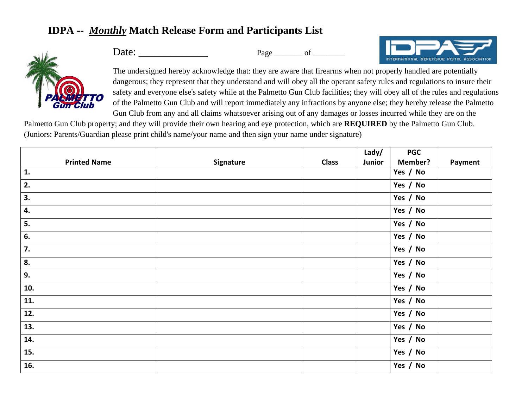## **IDPA --** *Monthly* **Match Release Form and Participants List**



Date: Page of



The undersigned hereby acknowledge that: they are aware that firearms when not properly handled are potentially dangerous; they represent that they understand and will obey all the operant safety rules and regulations to insure their safety and everyone else's safety while at the Palmetto Gun Club facilities; they will obey all of the rules and regulations of the Palmetto Gun Club and will report immediately any infractions by anyone else; they hereby release the Palmetto Gun Club from any and all claims whatsoever arising out of any damages or losses incurred while they are on the

Palmetto Gun Club property; and they will provide their own hearing and eye protection, which are **REQUIRED** by the Palmetto Gun Club. (Juniors: Parents/Guardian please print child's name/your name and then sign your name under signature)

|                     |           |              | Lady/  | <b>PGC</b>     |         |
|---------------------|-----------|--------------|--------|----------------|---------|
| <b>Printed Name</b> | Signature | <b>Class</b> | Junior | <b>Member?</b> | Payment |
| 1.                  |           |              |        | Yes / No       |         |
| 2.                  |           |              |        | Yes / No       |         |
| 3.                  |           |              |        | Yes / No       |         |
| 4.                  |           |              |        | Yes / No       |         |
| 5.                  |           |              |        | Yes / No       |         |
| 6.                  |           |              |        | Yes / No       |         |
| 7.                  |           |              |        | Yes / No       |         |
| 8.                  |           |              |        | Yes / No       |         |
| 9.                  |           |              |        | Yes / No       |         |
| 10.                 |           |              |        | Yes / No       |         |
| 11.                 |           |              |        | Yes / No       |         |
| 12.                 |           |              |        | Yes / No       |         |
| 13.                 |           |              |        | Yes / No       |         |
| 14.                 |           |              |        | Yes / No       |         |
| 15.                 |           |              |        | Yes / No       |         |
| 16.                 |           |              |        | Yes / No       |         |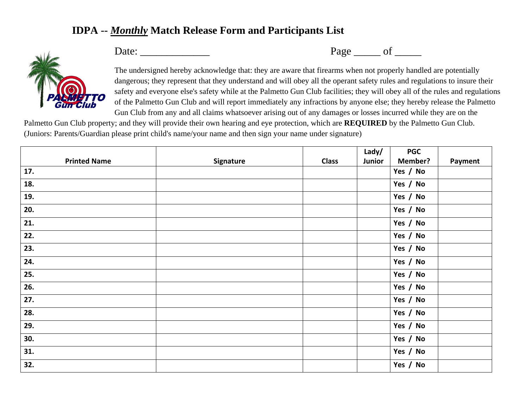## **IDPA --** *Monthly* **Match Release Form and Participants List**



Date: \_\_\_\_\_\_\_\_\_\_\_\_\_ Page \_\_\_\_\_ of \_\_\_\_\_

The undersigned hereby acknowledge that: they are aware that firearms when not properly handled are potentially dangerous; they represent that they understand and will obey all the operant safety rules and regulations to insure their safety and everyone else's safety while at the Palmetto Gun Club facilities; they will obey all of the rules and regulations of the Palmetto Gun Club and will report immediately any infractions by anyone else; they hereby release the Palmetto Gun Club from any and all claims whatsoever arising out of any damages or losses incurred while they are on the

Palmetto Gun Club property; and they will provide their own hearing and eye protection, which are **REQUIRED** by the Palmetto Gun Club. (Juniors: Parents/Guardian please print child's name/your name and then sign your name under signature)

|                     |           |              | Lady/  | <b>PGC</b>     |         |
|---------------------|-----------|--------------|--------|----------------|---------|
| <b>Printed Name</b> | Signature | <b>Class</b> | Junior | <b>Member?</b> | Payment |
| 17.                 |           |              |        | Yes / No       |         |
| 18.                 |           |              |        | Yes / No       |         |
| 19.                 |           |              |        | Yes / No       |         |
| 20.                 |           |              |        | Yes / No       |         |
| 21.                 |           |              |        | Yes / No       |         |
| 22.                 |           |              |        | Yes / No       |         |
| 23.                 |           |              |        | Yes / No       |         |
| 24.                 |           |              |        | Yes / No       |         |
| 25.                 |           |              |        | Yes / No       |         |
| 26.                 |           |              |        | Yes / No       |         |
| 27.                 |           |              |        | Yes / No       |         |
| 28.                 |           |              |        | Yes / No       |         |
| 29.                 |           |              |        | Yes / No       |         |
| 30.                 |           |              |        | Yes / No       |         |
| 31.                 |           |              |        | Yes / No       |         |
| 32.                 |           |              |        | Yes / No       |         |